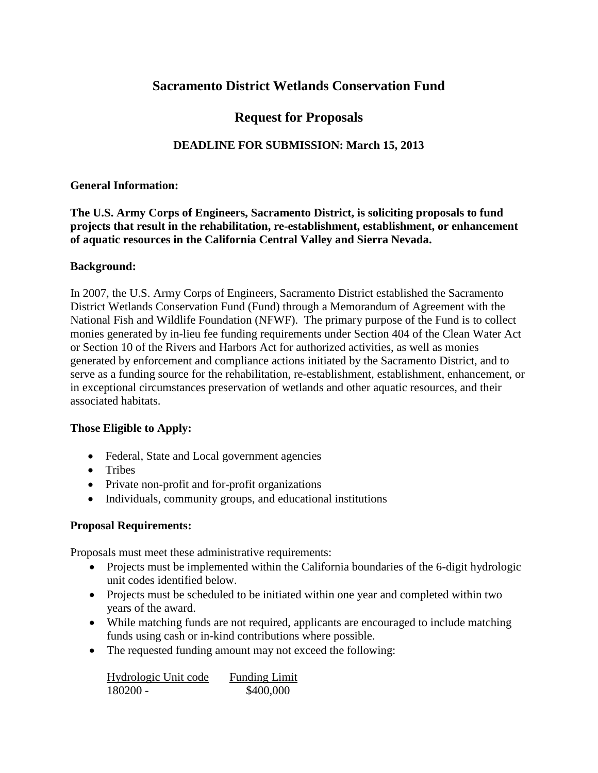# **Sacramento District Wetlands Conservation Fund**

# **Request for Proposals**

## **DEADLINE FOR SUBMISSION: March 15, 2013**

#### **General Information:**

### **The U.S. Army Corps of Engineers, Sacramento District, is soliciting proposals to fund projects that result in the rehabilitation, re-establishment, establishment, or enhancement of aquatic resources in the California Central Valley and Sierra Nevada.**

#### **Background:**

In 2007, the U.S. Army Corps of Engineers, Sacramento District established the Sacramento District Wetlands Conservation Fund (Fund) through a Memorandum of Agreement with the National Fish and Wildlife Foundation (NFWF). The primary purpose of the Fund is to collect monies generated by in-lieu fee funding requirements under Section 404 of the Clean Water Act or Section 10 of the Rivers and Harbors Act for authorized activities, as well as monies generated by enforcement and compliance actions initiated by the Sacramento District, and to serve as a funding source for the rehabilitation, re-establishment, establishment, enhancement, or in exceptional circumstances preservation of wetlands and other aquatic resources, and their associated habitats.

#### **Those Eligible to Apply:**

- Federal, State and Local government agencies
- Tribes
- Private non-profit and for-profit organizations
- Individuals, community groups, and educational institutions

### **Proposal Requirements:**

Proposals must meet these administrative requirements:

- Projects must be implemented within the California boundaries of the 6-digit hydrologic unit codes identified below.
- Projects must be scheduled to be initiated within one year and completed within two years of the award.
- While matching funds are not required, applicants are encouraged to include matching funds using cash or in-kind contributions where possible.
- The requested funding amount may not exceed the following:

| Hydrologic Unit code | <b>Funding Limit</b> |
|----------------------|----------------------|
| 180200 -             | \$400,000            |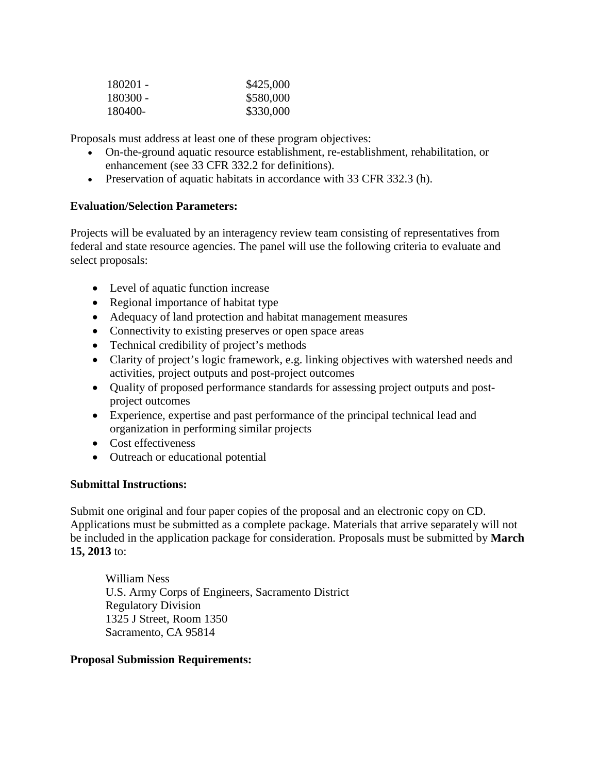| 180201 - | \$425,000 |
|----------|-----------|
| 180300 - | \$580,000 |
| 180400-  | \$330,000 |

Proposals must address at least one of these program objectives:

- On-the-ground aquatic resource establishment*,* re-establishment, rehabilitation, or enhancement (see 33 CFR 332.2 for definitions).
- Preservation of aquatic habitats in accordance with 33 CFR 332.3 (h).

# **Evaluation/Selection Parameters:**

Projects will be evaluated by an interagency review team consisting of representatives from federal and state resource agencies. The panel will use the following criteria to evaluate and select proposals:

- Level of aquatic function increase
- Regional importance of habitat type
- Adequacy of land protection and habitat management measures
- Connectivity to existing preserves or open space areas
- Technical credibility of project's methods
- Clarity of project's logic framework, e.g. linking objectives with watershed needs and activities, project outputs and post-project outcomes
- Quality of proposed performance standards for assessing project outputs and postproject outcomes
- Experience, expertise and past performance of the principal technical lead and organization in performing similar projects
- Cost effectiveness
- Outreach or educational potential

### **Submittal Instructions:**

Submit one original and four paper copies of the proposal and an electronic copy on CD. Applications must be submitted as a complete package. Materials that arrive separately will not be included in the application package for consideration. Proposals must be submitted by **March 15, 2013** to:

William Ness U.S. Army Corps of Engineers, Sacramento District Regulatory Division 1325 J Street, Room 1350 Sacramento, CA 95814

#### **Proposal Submission Requirements:**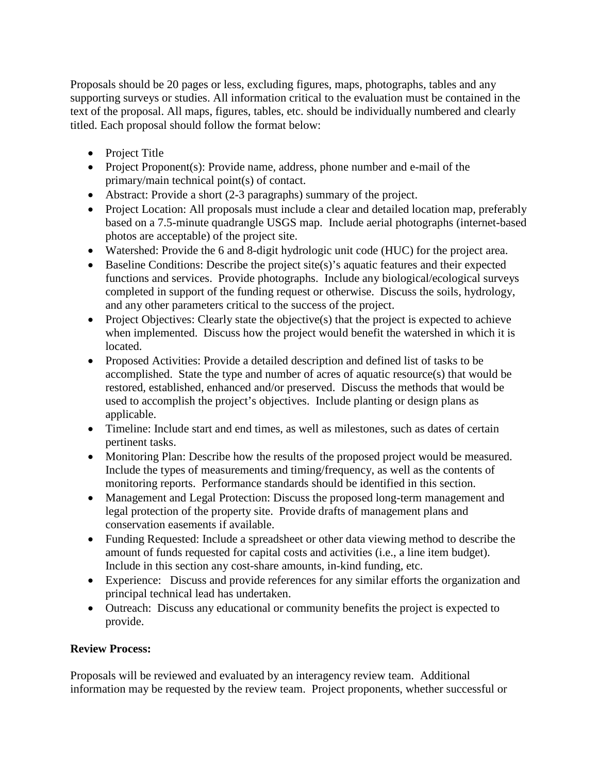Proposals should be 20 pages or less, excluding figures, maps, photographs, tables and any supporting surveys or studies. All information critical to the evaluation must be contained in the text of the proposal. All maps, figures, tables, etc. should be individually numbered and clearly titled. Each proposal should follow the format below:

- Project Title
- Project Proponent(s): Provide name, address, phone number and e-mail of the primary/main technical point(s) of contact.
- Abstract: Provide a short (2-3 paragraphs) summary of the project.
- Project Location: All proposals must include a clear and detailed location map, preferably based on a 7.5-minute quadrangle USGS map. Include aerial photographs (internet-based photos are acceptable) of the project site.
- Watershed: Provide the 6 and 8-digit hydrologic unit code (HUC) for the project area.
- Baseline Conditions: Describe the project site(s)'s aquatic features and their expected functions and services. Provide photographs. Include any biological/ecological surveys completed in support of the funding request or otherwise. Discuss the soils, hydrology, and any other parameters critical to the success of the project.
- Project Objectives: Clearly state the objective(s) that the project is expected to achieve when implemented. Discuss how the project would benefit the watershed in which it is located.
- Proposed Activities: Provide a detailed description and defined list of tasks to be accomplished. State the type and number of acres of aquatic resource(s) that would be restored, established, enhanced and/or preserved. Discuss the methods that would be used to accomplish the project's objectives. Include planting or design plans as applicable.
- Timeline: Include start and end times, as well as milestones, such as dates of certain pertinent tasks.
- Monitoring Plan: Describe how the results of the proposed project would be measured. Include the types of measurements and timing/frequency, as well as the contents of monitoring reports. Performance standards should be identified in this section.
- Management and Legal Protection: Discuss the proposed long-term management and legal protection of the property site. Provide drafts of management plans and conservation easements if available.
- Funding Requested: Include a spreadsheet or other data viewing method to describe the amount of funds requested for capital costs and activities (i.e., a line item budget). Include in this section any cost-share amounts, in-kind funding, etc.
- Experience: Discuss and provide references for any similar efforts the organization and principal technical lead has undertaken.
- Outreach: Discuss any educational or community benefits the project is expected to provide.

# **Review Process:**

Proposals will be reviewed and evaluated by an interagency review team. Additional information may be requested by the review team.Project proponents, whether successful or